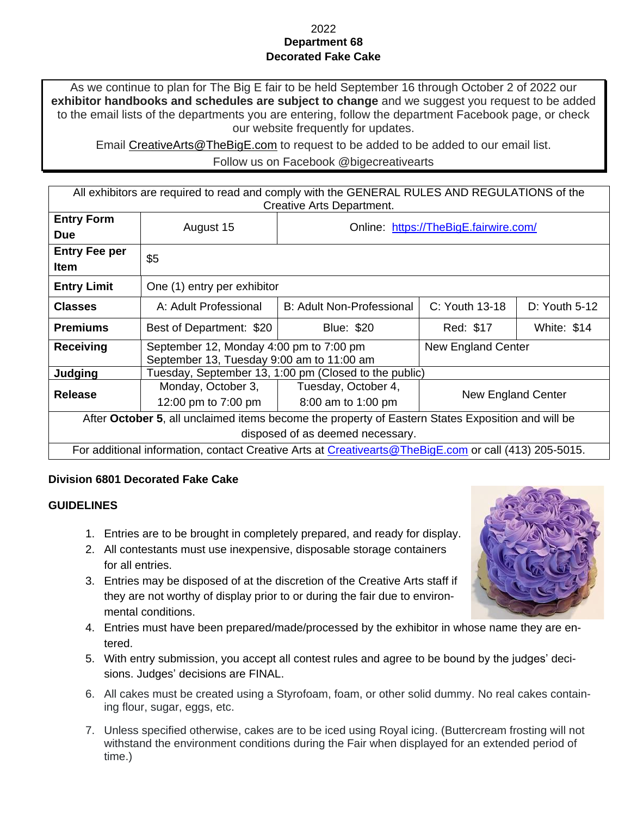## 2022 **Department 68 Decorated Fake Cake**

As we continue to plan for The Big E fair to be held September 16 through October 2 of 2022 our **exhibitor handbooks and schedules are subject to change** and we suggest you request to be added to the email lists of the departments you are entering, follow the department Facebook page, or check our website frequently for updates.

Email [CreativeArts@TheBigE.com](mailto:CreativeArts@TheBigE.com) to request to be added to be added to our email list.

Follow us on Facebook @bigecreativearts

All exhibitors are required to read and comply with the GENERAL RULES AND REGULATIONS of the Creative Arts Department.

| <b>Entry Form</b>                                                                                     | August 15                                             | Online: https://TheBigE.fairwire.com/ |                    |                    |
|-------------------------------------------------------------------------------------------------------|-------------------------------------------------------|---------------------------------------|--------------------|--------------------|
| <b>Due</b>                                                                                            |                                                       |                                       |                    |                    |
| <b>Entry Fee per</b>                                                                                  | \$5                                                   |                                       |                    |                    |
| <b>Item</b>                                                                                           |                                                       |                                       |                    |                    |
| <b>Entry Limit</b>                                                                                    | One (1) entry per exhibitor                           |                                       |                    |                    |
| <b>Classes</b>                                                                                        | A: Adult Professional                                 | B: Adult Non-Professional             | C: Youth 13-18     | $D:$ Youth 5-12    |
| <b>Premiums</b>                                                                                       | Best of Department: \$20                              | <b>Blue: \$20</b>                     | Red: \$17          | <b>White: \$14</b> |
| <b>Receiving</b>                                                                                      | September 12, Monday 4:00 pm to 7:00 pm               |                                       | New England Center |                    |
|                                                                                                       | September 13, Tuesday 9:00 am to 11:00 am             |                                       |                    |                    |
| Judging                                                                                               | Tuesday, September 13, 1:00 pm (Closed to the public) |                                       |                    |                    |
| <b>Release</b>                                                                                        | Monday, October 3,                                    | Tuesday, October 4,                   | New England Center |                    |
|                                                                                                       | 12:00 pm to 7:00 pm                                   | 8:00 am to 1:00 pm                    |                    |                    |
| After October 5, all unclaimed items become the property of Eastern States Exposition and will be     |                                                       |                                       |                    |                    |
| disposed of as deemed necessary.                                                                      |                                                       |                                       |                    |                    |
| For additional information, contact Creative Arts at Creativearts@TheBigE.com or call (413) 205-5015. |                                                       |                                       |                    |                    |

## **Division 6801 Decorated Fake Cake**

## **GUIDELINES**

- 1. Entries are to be brought in completely prepared, and ready for display.
- 2. All contestants must use inexpensive, disposable storage containers for all entries.
- 3. Entries may be disposed of at the discretion of the Creative Arts staff if they are not worthy of display prior to or during the fair due to environmental conditions.
- 4. Entries must have been prepared/made/processed by the exhibitor in whose name they are entered.
- 5. With entry submission, you accept all contest rules and agree to be bound by the judges' decisions. Judges' decisions are FINAL.
- 6. All cakes must be created using a Styrofoam, foam, or other solid dummy. No real cakes containing flour, sugar, eggs, etc.
- 7. Unless specified otherwise, cakes are to be iced using Royal icing. (Buttercream frosting will not withstand the environment conditions during the Fair when displayed for an extended period of time.)